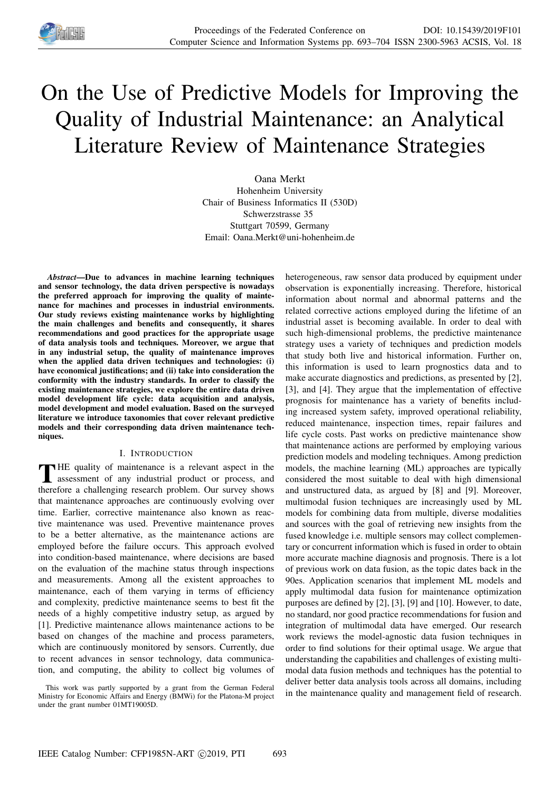

# On the Use of Predictive Models for Improving the Quality of Industrial Maintenance: an Analytical Literature Review of Maintenance Strategies

Oana Merkt Hohenheim University Chair of Business Informatics II (530D) Schwerzstrasse 35 Stuttgart 70599, Germany Email: Oana.Merkt@uni-hohenheim.de

*Abstract*—Due to advances in machine learning techniques and sensor technology, the data driven perspective is nowadays the preferred approach for improving the quality of maintenance for machines and processes in industrial environments. Our study reviews existing maintenance works by highlighting the main challenges and benefits and consequently, it shares recommendations and good practices for the appropriate usage of data analysis tools and techniques. Moreover, we argue that in any industrial setup, the quality of maintenance improves when the applied data driven techniques and technologies: (i) have economical justifications; and (ii) take into consideration the conformity with the industry standards. In order to classify the existing maintenance strategies, we explore the entire data driven model development life cycle: data acquisition and analysis, model development and model evaluation. Based on the surveyed literature we introduce taxonomies that cover relevant predictive models and their corresponding data driven maintenance techniques.

## I. INTRODUCTION

THE quality of maintenance is a relevant aspect in the assessment of any industrial product or process, and assessment of any industrial product or process, and therefore a challenging research problem. Our survey shows that maintenance approaches are continuously evolving over time. Earlier, corrective maintenance also known as reactive maintenance was used. Preventive maintenance proves to be a better alternative, as the maintenance actions are employed before the failure occurs. This approach evolved into condition-based maintenance, where decisions are based on the evaluation of the machine status through inspections and measurements. Among all the existent approaches to maintenance, each of them varying in terms of efficiency and complexity, predictive maintenance seems to best fit the needs of a highly competitive industry setup, as argued by [1]. Predictive maintenance allows maintenance actions to be based on changes of the machine and process parameters, which are continuously monitored by sensors. Currently, due to recent advances in sensor technology, data communication, and computing, the ability to collect big volumes of heterogeneous, raw sensor data produced by equipment under observation is exponentially increasing. Therefore, historical information about normal and abnormal patterns and the related corrective actions employed during the lifetime of an industrial asset is becoming available. In order to deal with such high-dimensional problems, the predictive maintenance strategy uses a variety of techniques and prediction models that study both live and historical information. Further on, this information is used to learn prognostics data and to make accurate diagnostics and predictions, as presented by [2], [3], and [4]. They argue that the implementation of effective prognosis for maintenance has a variety of benefits including increased system safety, improved operational reliability, reduced maintenance, inspection times, repair failures and life cycle costs. Past works on predictive maintenance show that maintenance actions are performed by employing various prediction models and modeling techniques. Among prediction models, the machine learning (ML) approaches are typically considered the most suitable to deal with high dimensional and unstructured data, as argued by [8] and [9]. Moreover, multimodal fusion techniques are increasingly used by ML models for combining data from multiple, diverse modalities and sources with the goal of retrieving new insights from the fused knowledge i.e. multiple sensors may collect complementary or concurrent information which is fused in order to obtain more accurate machine diagnosis and prognosis. There is a lot of previous work on data fusion, as the topic dates back in the 90es. Application scenarios that implement ML models and apply multimodal data fusion for maintenance optimization purposes are defined by [2], [3], [9] and [10]. However, to date, no standard, nor good practice recommendations for fusion and integration of multimodal data have emerged. Our research work reviews the model-agnostic data fusion techniques in order to find solutions for their optimal usage. We argue that understanding the capabilities and challenges of existing multimodal data fusion methods and techniques has the potential to deliver better data analysis tools across all domains, including in the maintenance quality and management field of research.

This work was partly supported by a grant from the German Federal Ministry for Economic Affairs and Energy (BMWi) for the Platona-M project under the grant number 01MT19005D.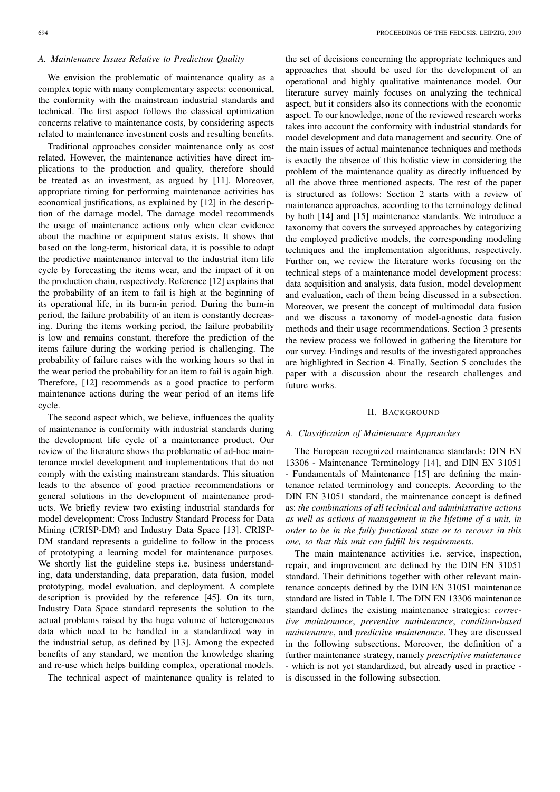# *A. Maintenance Issues Relative to Prediction Quality*

We envision the problematic of maintenance quality as a complex topic with many complementary aspects: economical, the conformity with the mainstream industrial standards and technical. The first aspect follows the classical optimization concerns relative to maintenance costs, by considering aspects related to maintenance investment costs and resulting benefits.

Traditional approaches consider maintenance only as cost related. However, the maintenance activities have direct implications to the production and quality, therefore should be treated as an investment, as argued by [11]. Moreover, appropriate timing for performing maintenance activities has economical justifications, as explained by [12] in the description of the damage model. The damage model recommends the usage of maintenance actions only when clear evidence about the machine or equipment status exists. It shows that based on the long-term, historical data, it is possible to adapt the predictive maintenance interval to the industrial item life cycle by forecasting the items wear, and the impact of it on the production chain, respectively. Reference [12] explains that the probability of an item to fail is high at the beginning of its operational life, in its burn-in period. During the burn-in period, the failure probability of an item is constantly decreasing. During the items working period, the failure probability is low and remains constant, therefore the prediction of the items failure during the working period is challenging. The probability of failure raises with the working hours so that in the wear period the probability for an item to fail is again high. Therefore, [12] recommends as a good practice to perform maintenance actions during the wear period of an items life cycle.

The second aspect which, we believe, influences the quality of maintenance is conformity with industrial standards during the development life cycle of a maintenance product. Our review of the literature shows the problematic of ad-hoc maintenance model development and implementations that do not comply with the existing mainstream standards. This situation leads to the absence of good practice recommendations or general solutions in the development of maintenance products. We briefly review two existing industrial standards for model development: Cross Industry Standard Process for Data Mining (CRISP-DM) and Industry Data Space [13]. CRISP-DM standard represents a guideline to follow in the process of prototyping a learning model for maintenance purposes. We shortly list the guideline steps i.e. business understanding, data understanding, data preparation, data fusion, model prototyping, model evaluation, and deployment. A complete description is provided by the reference [45]. On its turn, Industry Data Space standard represents the solution to the actual problems raised by the huge volume of heterogeneous data which need to be handled in a standardized way in the industrial setup, as defined by [13]. Among the expected benefits of any standard, we mention the knowledge sharing and re-use which helps building complex, operational models.

The technical aspect of maintenance quality is related to

the set of decisions concerning the appropriate techniques and approaches that should be used for the development of an operational and highly qualitative maintenance model. Our literature survey mainly focuses on analyzing the technical aspect, but it considers also its connections with the economic aspect. To our knowledge, none of the reviewed research works takes into account the conformity with industrial standards for model development and data management and security. One of the main issues of actual maintenance techniques and methods is exactly the absence of this holistic view in considering the problem of the maintenance quality as directly influenced by all the above three mentioned aspects. The rest of the paper is structured as follows: Section 2 starts with a review of maintenance approaches, according to the terminology defined by both [14] and [15] maintenance standards. We introduce a taxonomy that covers the surveyed approaches by categorizing the employed predictive models, the corresponding modeling techniques and the implementation algorithms, respectively. Further on, we review the literature works focusing on the technical steps of a maintenance model development process: data acquisition and analysis, data fusion, model development and evaluation, each of them being discussed in a subsection. Moreover, we present the concept of multimodal data fusion and we discuss a taxonomy of model-agnostic data fusion methods and their usage recommendations. Section 3 presents the review process we followed in gathering the literature for our survey. Findings and results of the investigated approaches are highlighted in Section 4. Finally, Section 5 concludes the paper with a discussion about the research challenges and future works.

## II. BACKGROUND

#### *A. Classification of Maintenance Approaches*

The European recognized maintenance standards: DIN EN 13306 - Maintenance Terminology [14], and DIN EN 31051 - Fundamentals of Maintenance [15] are defining the maintenance related terminology and concepts. According to the DIN EN 31051 standard, the maintenance concept is defined as: *the combinations of all technical and administrative actions as well as actions of management in the lifetime of a unit, in order to be in the fully functional state or to recover in this one, so that this unit can fulfill his requirements*.

The main maintenance activities i.e. service, inspection, repair, and improvement are defined by the DIN EN 31051 standard. Their definitions together with other relevant maintenance concepts defined by the DIN EN 31051 maintenance standard are listed in Table I. The DIN EN 13306 maintenance standard defines the existing maintenance strategies: *corrective maintenance*, *preventive maintenance*, *condition-based maintenance*, and *predictive maintenance*. They are discussed in the following subsections. Moreover, the definition of a further maintenance strategy, namely *prescriptive maintenance* - which is not yet standardized, but already used in practice is discussed in the following subsection.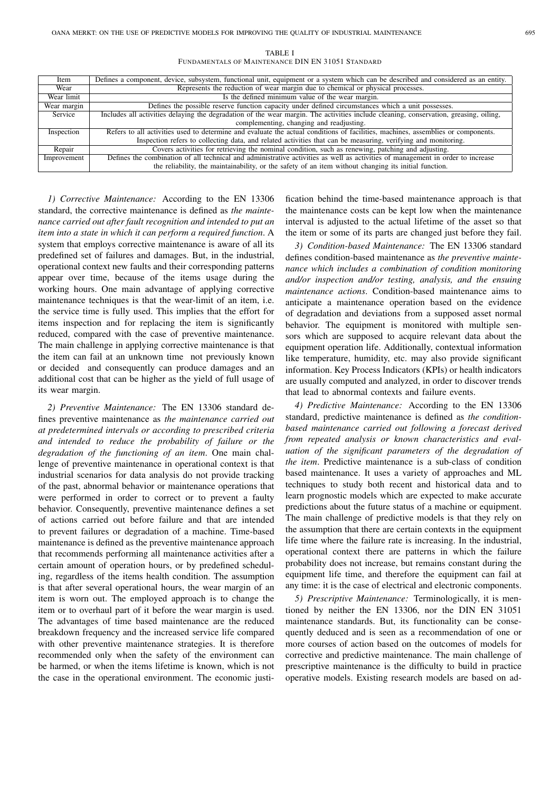TABLE I FUNDAMENTALS OF MAINTENANCE DIN EN 31051 STANDARD

| Item        | Defines a component, device, subsystem, functional unit, equipment or a system which can be described and considered as an entity.    |  |  |  |  |  |
|-------------|---------------------------------------------------------------------------------------------------------------------------------------|--|--|--|--|--|
| Wear        | Represents the reduction of wear margin due to chemical or physical processes.                                                        |  |  |  |  |  |
| Wear limit  | Is the defined minimum value of the wear margin.                                                                                      |  |  |  |  |  |
| Wear margin | Defines the possible reserve function capacity under defined circumstances which a unit possesses.                                    |  |  |  |  |  |
| Service     | Includes all activities delaying the degradation of the wear margin. The activities include cleaning, conservation, greasing, oiling, |  |  |  |  |  |
|             | complementing, changing and readjusting.                                                                                              |  |  |  |  |  |
| Inspection  | Refers to all activities used to determine and evaluate the actual conditions of facilities, machines, assemblies or components.      |  |  |  |  |  |
|             | Inspection refers to collecting data, and related activities that can be measuring, verifying and monitoring.                         |  |  |  |  |  |
| Repair      | Covers activities for retrieving the nominal condition, such as renewing, patching and adjusting.                                     |  |  |  |  |  |
| Improvement | Defines the combination of all technical and administrative activities as well as activities of management in order to increase       |  |  |  |  |  |
|             | the reliability, the maintainability, or the safety of an item without changing its initial function.                                 |  |  |  |  |  |

*1) Corrective Maintenance:* According to the EN 13306 standard, the corrective maintenance is defined as *the maintenance carried out after fault recognition and intended to put an item into a state in which it can perform a required function*. A system that employs corrective maintenance is aware of all its predefined set of failures and damages. But, in the industrial, operational context new faults and their corresponding patterns appear over time, because of the items usage during the working hours. One main advantage of applying corrective maintenance techniques is that the wear-limit of an item, i.e. the service time is fully used. This implies that the effort for items inspection and for replacing the item is significantly reduced, compared with the case of preventive maintenance. The main challenge in applying corrective maintenance is that the item can fail at an unknown time not previously known or decided and consequently can produce damages and an additional cost that can be higher as the yield of full usage of its wear margin.

*2) Preventive Maintenance:* The EN 13306 standard defines preventive maintenance as *the maintenance carried out at predetermined intervals or according to prescribed criteria and intended to reduce the probability of failure or the degradation of the functioning of an item*. One main challenge of preventive maintenance in operational context is that industrial scenarios for data analysis do not provide tracking of the past, abnormal behavior or maintenance operations that were performed in order to correct or to prevent a faulty behavior. Consequently, preventive maintenance defines a set of actions carried out before failure and that are intended to prevent failures or degradation of a machine. Time-based maintenance is defined as the preventive maintenance approach that recommends performing all maintenance activities after a certain amount of operation hours, or by predefined scheduling, regardless of the items health condition. The assumption is that after several operational hours, the wear margin of an item is worn out. The employed approach is to change the item or to overhaul part of it before the wear margin is used. The advantages of time based maintenance are the reduced breakdown frequency and the increased service life compared with other preventive maintenance strategies. It is therefore recommended only when the safety of the environment can be harmed, or when the items lifetime is known, which is not the case in the operational environment. The economic justi-

fication behind the time-based maintenance approach is that the maintenance costs can be kept low when the maintenance interval is adjusted to the actual lifetime of the asset so that the item or some of its parts are changed just before they fail.

*3) Condition-based Maintenance:* The EN 13306 standard defines condition-based maintenance as *the preventive maintenance which includes a combination of condition monitoring and/or inspection and/or testing, analysis, and the ensuing maintenance actions*. Condition-based maintenance aims to anticipate a maintenance operation based on the evidence of degradation and deviations from a supposed asset normal behavior. The equipment is monitored with multiple sensors which are supposed to acquire relevant data about the equipment operation life. Additionally, contextual information like temperature, humidity, etc. may also provide significant information. Key Process Indicators (KPIs) or health indicators are usually computed and analyzed, in order to discover trends that lead to abnormal contexts and failure events.

*4) Predictive Maintenance:* According to the EN 13306 standard, predictive maintenance is defined as *the conditionbased maintenance carried out following a forecast derived from repeated analysis or known characteristics and evaluation of the significant parameters of the degradation of the item*. Predictive maintenance is a sub-class of condition based maintenance. It uses a variety of approaches and ML techniques to study both recent and historical data and to learn prognostic models which are expected to make accurate predictions about the future status of a machine or equipment. The main challenge of predictive models is that they rely on the assumption that there are certain contexts in the equipment life time where the failure rate is increasing. In the industrial, operational context there are patterns in which the failure probability does not increase, but remains constant during the equipment life time, and therefore the equipment can fail at any time: it is the case of electrical and electronic components.

*5) Prescriptive Maintenance:* Terminologically, it is mentioned by neither the EN 13306, nor the DIN EN 31051 maintenance standards. But, its functionality can be consequently deduced and is seen as a recommendation of one or more courses of action based on the outcomes of models for corrective and predictive maintenance. The main challenge of prescriptive maintenance is the difficulty to build in practice operative models. Existing research models are based on ad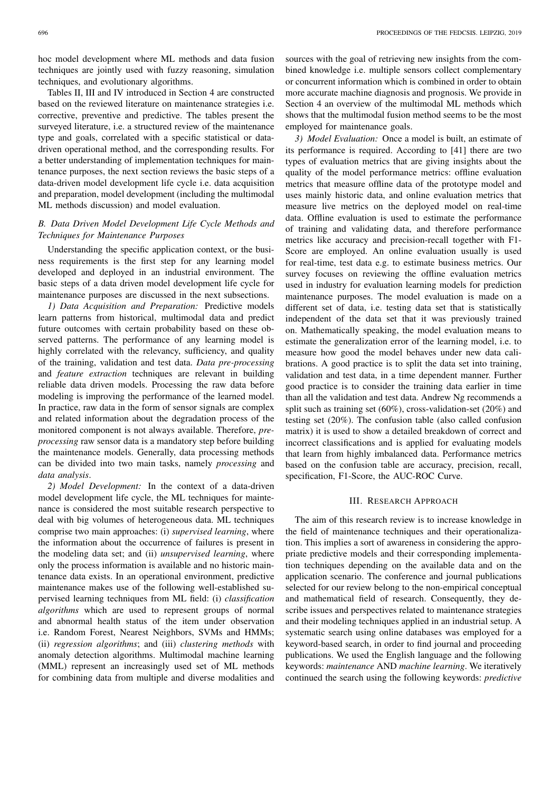hoc model development where ML methods and data fusion techniques are jointly used with fuzzy reasoning, simulation techniques, and evolutionary algorithms.

Tables II, III and IV introduced in Section 4 are constructed based on the reviewed literature on maintenance strategies i.e. corrective, preventive and predictive. The tables present the surveyed literature, i.e. a structured review of the maintenance type and goals, correlated with a specific statistical or datadriven operational method, and the corresponding results. For a better understanding of implementation techniques for maintenance purposes, the next section reviews the basic steps of a data-driven model development life cycle i.e. data acquisition and preparation, model development (including the multimodal ML methods discussion) and model evaluation.

# *B. Data Driven Model Development Life Cycle Methods and Techniques for Maintenance Purposes*

Understanding the specific application context, or the business requirements is the first step for any learning model developed and deployed in an industrial environment. The basic steps of a data driven model development life cycle for maintenance purposes are discussed in the next subsections.

*1) Data Acquisition and Preparation:* Predictive models learn patterns from historical, multimodal data and predict future outcomes with certain probability based on these observed patterns. The performance of any learning model is highly correlated with the relevancy, sufficiency, and quality of the training, validation and test data. *Data pre-processing* and *feature extraction* techniques are relevant in building reliable data driven models. Processing the raw data before modeling is improving the performance of the learned model. In practice, raw data in the form of sensor signals are complex and related information about the degradation process of the monitored component is not always available. Therefore, *preprocessing* raw sensor data is a mandatory step before building the maintenance models. Generally, data processing methods can be divided into two main tasks, namely *processing* and *data analysis*.

*2) Model Development:* In the context of a data-driven model development life cycle, the ML techniques for maintenance is considered the most suitable research perspective to deal with big volumes of heterogeneous data. ML techniques comprise two main approaches: (i) *supervised learning*, where the information about the occurrence of failures is present in the modeling data set; and (ii) *unsupervised learning*, where only the process information is available and no historic maintenance data exists. In an operational environment, predictive maintenance makes use of the following well-established supervised learning techniques from ML field: (i) *classification algorithms* which are used to represent groups of normal and abnormal health status of the item under observation i.e. Random Forest, Nearest Neighbors, SVMs and HMMs; (ii) *regression algorithms*; and (iii) *clustering methods* with anomaly detection algorithms. Multimodal machine learning (MML) represent an increasingly used set of ML methods for combining data from multiple and diverse modalities and

sources with the goal of retrieving new insights from the combined knowledge i.e. multiple sensors collect complementary or concurrent information which is combined in order to obtain more accurate machine diagnosis and prognosis. We provide in Section 4 an overview of the multimodal ML methods which shows that the multimodal fusion method seems to be the most employed for maintenance goals.

*3) Model Evaluation:* Once a model is built, an estimate of its performance is required. According to [41] there are two types of evaluation metrics that are giving insights about the quality of the model performance metrics: offline evaluation metrics that measure offline data of the prototype model and uses mainly historic data, and online evaluation metrics that measure live metrics on the deployed model on real-time data. Offline evaluation is used to estimate the performance of training and validating data, and therefore performance metrics like accuracy and precision-recall together with F1- Score are employed. An online evaluation usually is used for real-time, test data e.g. to estimate business metrics. Our survey focuses on reviewing the offline evaluation metrics used in industry for evaluation learning models for prediction maintenance purposes. The model evaluation is made on a different set of data, i.e. testing data set that is statistically independent of the data set that it was previously trained on. Mathematically speaking, the model evaluation means to estimate the generalization error of the learning model, i.e. to measure how good the model behaves under new data calibrations. A good practice is to split the data set into training, validation and test data, in a time dependent manner. Further good practice is to consider the training data earlier in time than all the validation and test data. Andrew Ng recommends a split such as training set (60%), cross-validation-set (20%) and testing set (20%). The confusion table (also called confusion matrix) it is used to show a detailed breakdown of correct and incorrect classifications and is applied for evaluating models that learn from highly imbalanced data. Performance metrics based on the confusion table are accuracy, precision, recall, specification, F1-Score, the AUC-ROC Curve.

## III. RESEARCH APPROACH

The aim of this research review is to increase knowledge in the field of maintenance techniques and their operationalization. This implies a sort of awareness in considering the appropriate predictive models and their corresponding implementation techniques depending on the available data and on the application scenario. The conference and journal publications selected for our review belong to the non-empirical conceptual and mathematical field of research. Consequently, they describe issues and perspectives related to maintenance strategies and their modeling techniques applied in an industrial setup. A systematic search using online databases was employed for a keyword-based search, in order to find journal and proceeding publications. We used the English language and the following keywords: *maintenance* AND *machine learning*. We iteratively continued the search using the following keywords: *predictive*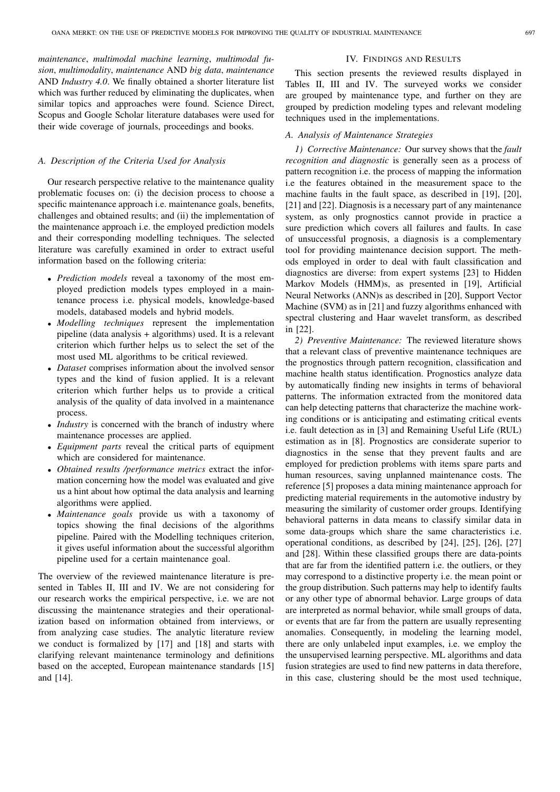*maintenance*, *multimodal machine learning*, *multimodal fusion*, *multimodality*, *maintenance* AND *big data*, *maintenance* AND *Industry 4.0*. We finally obtained a shorter literature list which was further reduced by eliminating the duplicates, when similar topics and approaches were found. Science Direct, Scopus and Google Scholar literature databases were used for their wide coverage of journals, proceedings and books.

## *A. Description of the Criteria Used for Analysis*

Our research perspective relative to the maintenance quality problematic focuses on: (i) the decision process to choose a specific maintenance approach *i.e.* maintenance goals, benefits, challenges and obtained results; and (ii) the implementation of the maintenance approach i.e. the employed prediction models and their corresponding modelling techniques. The selected literature was carefully examined in order to extract useful information based on the following criteria:

- *Prediction models* reveal a taxonomy of the most employed prediction models types employed in a maintenance process i.e. physical models, knowledge-based models, databased models and hybrid models.
- *Modelling techniques* represent the implementation pipeline (data analysis + algorithms) used. It is a relevant criterion which further helps us to select the set of the most used ML algorithms to be critical reviewed.
- *Dataset* comprises information about the involved sensor types and the kind of fusion applied. It is a relevant criterion which further helps us to provide a critical analysis of the quality of data involved in a maintenance process.
- *Industry* is concerned with the branch of industry where maintenance processes are applied.
- *Equipment parts* reveal the critical parts of equipment which are considered for maintenance.
- *Obtained results /performance metrics* extract the information concerning how the model was evaluated and give us a hint about how optimal the data analysis and learning algorithms were applied.
- *Maintenance goals* provide us with a taxonomy of topics showing the final decisions of the algorithms pipeline. Paired with the Modelling techniques criterion, it gives useful information about the successful algorithm pipeline used for a certain maintenance goal.

The overview of the reviewed maintenance literature is presented in Tables II, III and IV. We are not considering for our research works the empirical perspective, i.e. we are not discussing the maintenance strategies and their operationalization based on information obtained from interviews, or from analyzing case studies. The analytic literature review we conduct is formalized by [17] and [18] and starts with clarifying relevant maintenance terminology and definitions based on the accepted, European maintenance standards [15] and [14].

#### IV. FINDINGS AND RESULTS

This section presents the reviewed results displayed in Tables II, III and IV. The surveyed works we consider are grouped by maintenance type, and further on they are grouped by prediction modeling types and relevant modeling techniques used in the implementations.

## *A. Analysis of Maintenance Strategies*

*1) Corrective Maintenance:* Our survey shows that the *fault recognition and diagnostic* is generally seen as a process of pattern recognition i.e. the process of mapping the information i.e the features obtained in the measurement space to the machine faults in the fault space, as described in [19], [20], [21] and [22]. Diagnosis is a necessary part of any maintenance system, as only prognostics cannot provide in practice a sure prediction which covers all failures and faults. In case of unsuccessful prognosis, a diagnosis is a complementary tool for providing maintenance decision support. The methods employed in order to deal with fault classification and diagnostics are diverse: from expert systems [23] to Hidden Markov Models (HMM)s, as presented in [19], Artificial Neural Networks (ANN)s as described in [20], Support Vector Machine (SVM) as in [21] and fuzzy algorithms enhanced with spectral clustering and Haar wavelet transform, as described in [22].

*2) Preventive Maintenance:* The reviewed literature shows that a relevant class of preventive maintenance techniques are the prognostics through pattern recognition, classification and machine health status identification. Prognostics analyze data by automatically finding new insights in terms of behavioral patterns. The information extracted from the monitored data can help detecting patterns that characterize the machine working conditions or is anticipating and estimating critical events i.e. fault detection as in [3] and Remaining Useful Life (RUL) estimation as in [8]. Prognostics are considerate superior to diagnostics in the sense that they prevent faults and are employed for prediction problems with items spare parts and human resources, saving unplanned maintenance costs. The reference [5] proposes a data mining maintenance approach for predicting material requirements in the automotive industry by measuring the similarity of customer order groups. Identifying behavioral patterns in data means to classify similar data in some data-groups which share the same characteristics i.e. operational conditions, as described by [24], [25], [26], [27] and [28]. Within these classified groups there are data-points that are far from the identified pattern i.e. the outliers, or they may correspond to a distinctive property i.e. the mean point or the group distribution. Such patterns may help to identify faults or any other type of abnormal behavior. Large groups of data are interpreted as normal behavior, while small groups of data, or events that are far from the pattern are usually representing anomalies. Consequently, in modeling the learning model, there are only unlabeled input examples, i.e. we employ the the unsupervised learning perspective. ML algorithms and data fusion strategies are used to find new patterns in data therefore, in this case, clustering should be the most used technique,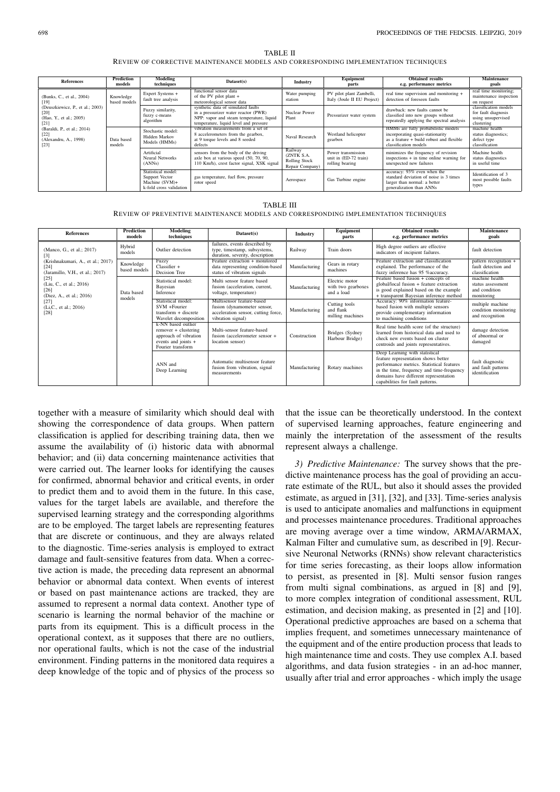TABLE II REVIEW OF CORRECTIVE MAINTENANCE MODELS AND CORRESPONDING IMPLEMENTATION TECHNIQUES

| <b>References</b>                                                                                                                                                                          | Prediction<br>models      | Modeling<br>techniques                                                              | Dataset(s)                                                                                                                                                       | Industry                                                  | Equipment<br>parts                                             | <b>Obtained results</b><br>e.g. performance metrics                                                                                            | Maintenance<br>goals                                                             |
|--------------------------------------------------------------------------------------------------------------------------------------------------------------------------------------------|---------------------------|-------------------------------------------------------------------------------------|------------------------------------------------------------------------------------------------------------------------------------------------------------------|-----------------------------------------------------------|----------------------------------------------------------------|------------------------------------------------------------------------------------------------------------------------------------------------|----------------------------------------------------------------------------------|
| (Bunks, C., et al., 2004)<br>[19]<br>(Deuszkiewicz, P., et al.; 2003)<br>$[20]$<br>(Hao, Y., et al.; 2005)<br>[21]<br>(Baraldi, P., et al.; 2014)<br>[22]<br>(Alexandru, A., 1998)<br>[23] | Knowledge<br>based models | Expert Systems +<br>fault tree analysis                                             | functional sensor data<br>of the PV pilot plant +<br>meteorological sensor data                                                                                  | Water pumping<br>station                                  | PV pilot plant Zambelli,<br>Italy (Joule II EU Project)        | real time supervision and monitoring +<br>detection of foreseen faults                                                                         | real time monitoring;<br>maintenance inspection<br>on request                    |
|                                                                                                                                                                                            |                           | Fuzzy similarity,<br>fuzzy c-means<br>algorithm                                     | synthetic data of simulated faults<br>in a pressurizer water reactor (PWR)<br>NPP: vapor and steam temperature, liquid<br>temperature, liquid level and pressure | Nuclear Power<br>Plant                                    | Pressurizer water system                                       | drawback: new faults cannot be<br>classified into new groups without<br>repeatedly applying the spectral analysis                              | classification models<br>for fault diagnosis<br>using unsupervised<br>clustering |
|                                                                                                                                                                                            | Data based<br>models      | Stochastic model:<br>Hidden Markov<br>Models (HMMs)                                 | vibration measurements from a set of<br>8 accelerometers from the gearbox,<br>at 9 torque levels and 8 seeded<br>defects                                         | Naval Research                                            | Westland helicopter<br>gearbox                                 | HMMs are fully probabilistic models<br>incorporating quasi-stationarity<br>as a feature $+$ build robust and flexible<br>classification models | machine health<br>status diagnostics;<br>defect type<br>classification           |
|                                                                                                                                                                                            |                           | Artificial<br>Neural Networks<br>(ANNs)                                             | sensors from the body of the driving<br>axle box at various speed (50, 70, 90,<br>110 Km/h), crest factor signal, XSK signal                                     | Railway<br>(ZNTK S.A.<br>Rolling Stock<br>Repair Company) | Power transmission<br>unit in (ED-72 train)<br>rolling bearing | minimizes the frequency of revision<br>inspections $+$ in time online warning for<br>unexpected new failures                                   | Machine health<br>status diagnostics<br>in useful time                           |
|                                                                                                                                                                                            |                           | Statistical model:<br>Support Vector<br>Machine $(SVM)+$<br>k-fold cross validation | gas temperature, fuel flow, pressure<br>rotor speed                                                                                                              | Aerospace                                                 | Gas Turbine engine                                             | accuracy: 93% even when the<br>standard deviation of noise is 3 times<br>larger than normal: a better<br>generalization than ANNs              | Identification of 3<br>most possible faults<br>types                             |

TABLE III REVIEW OF PREVENTIVE MAINTENANCE MODELS AND CORRESPONDING IMPLEMENTATION TECHNIQUES

| <b>References</b>                                                              | <b>Prediction</b><br>models | <b>Modeling</b><br>techniques                                                                                   | Dataset(s)                                                                                                           | Industry      | Equipment<br>parts                                 | <b>Obtained results</b><br>e.g. performance metrics                                                                                                                                                                                          | <b>Maintenance</b><br>goals                                        |
|--------------------------------------------------------------------------------|-----------------------------|-----------------------------------------------------------------------------------------------------------------|----------------------------------------------------------------------------------------------------------------------|---------------|----------------------------------------------------|----------------------------------------------------------------------------------------------------------------------------------------------------------------------------------------------------------------------------------------------|--------------------------------------------------------------------|
| (Manco, G., et al.; 2017)                                                      | Hybrid<br>models            | Outlier detection                                                                                               | failures, events described by<br>type, timestamp, subsystems,<br>duration, severity, description                     | Railway       | Train doors                                        | High degree outliers are effective<br>indicators of incipient failures.                                                                                                                                                                      | fault detection                                                    |
| (Krishnakumari, A., et al.; 2017)<br>$[24]$<br>(Jaramillo, V.H., et al.; 2017) | Knowledge<br>based models   | Fuzzy<br>$Classifier +$<br>Decision Tree                                                                        | Feature extraction + monitored<br>data representing condition-based<br>status of vibration signals                   | Manufacturing | Gears in rotary<br>machines                        | Feature extraction and classification<br>explained. The performance of the<br>fuzzy inference has 95 % accuracy.                                                                                                                             | pattern recognition +<br>fault detection and<br>classification     |
| $[25]$<br>(Liu, C., et al.; 2016)<br>$[26]$<br>(Diez, A., et al.; 2016)        | Data based<br>models        | Statistical model:<br>Bayesian<br>Inference                                                                     | Multi sensor feature based<br>fusion (acceleration, current,<br>voltage, temperature)                                | Manufacturing | Electric motor<br>with two gearboxes<br>and a load | Feature based fusion + concepts of<br>global/local fusion + feature extraction<br>is good explained based on the example<br>+ transparent Bayesian inference method                                                                          | machine health<br>status assessment<br>and condition<br>monitoring |
| $[27]$<br>(Li,C., et al.; 2016)<br>[28]                                        |                             | Statistical model:<br>SVM +Fourier<br>$transform + discrete$<br>Wavelet decomposition                           | Multisensor feature-based<br>fusion (dynamometer sensor,<br>acceleration sensor, cutting force,<br>vibration signal) | Manufacturing | Cutting tools<br>and flank<br>milling machines     | Accuracy: 90% information feature-<br>based fusion with multiple sensors<br>provide complementary information<br>to machining conditions                                                                                                     | multiple machine<br>condition monitoring<br>and recognition        |
|                                                                                |                             | k-NN based outlier<br>remover + clustering<br>approach of vibration<br>events and joints +<br>Fourier transform | Multi-sensor feature-based<br>fusion (accelerometer sensor +<br>location sensor)                                     | Construction  | Bridges (Sydney<br>Harbour Bridge)                 | Real time health score (of the structure)<br>learned from historical data and used to<br>check new events based on cluster<br>centroids and joints representatives.                                                                          | damage detection<br>of abnormal or<br>damaged                      |
|                                                                                |                             | ANN and<br>Deep Learning                                                                                        | Automatic multisensor feature<br>fusion from vibration, signal<br>measurements                                       | Manufacturing | Rotary machines                                    | Deep Learning with statistical<br>feature representation shows better<br>performance metrics. Statistical features<br>in the time, frequency and time-frequency<br>domains have different representation<br>capabilities for fault patterns. | fault diagnostic<br>and fault patterns<br>identification           |

together with a measure of similarity which should deal with showing the correspondence of data groups. When pattern classification is applied for describing training data, then we assume the availability of (i) historic data with abnormal behavior; and (ii) data concerning maintenance activities that were carried out. The learner looks for identifying the causes for confirmed, abnormal behavior and critical events, in order to predict them and to avoid them in the future. In this case, values for the target labels are available, and therefore the supervised learning strategy and the corresponding algorithms are to be employed. The target labels are representing features that are discrete or continuous, and they are always related to the diagnostic. Time-series analysis is employed to extract damage and fault-sensitive features from data. When a corrective action is made, the preceding data represent an abnormal behavior or abnormal data context. When events of interest or based on past maintenance actions are tracked, they are assumed to represent a normal data context. Another type of scenario is learning the normal behavior of the machine or parts from its equipment. This is a difficult process in the operational context, as it supposes that there are no outliers, nor operational faults, which is not the case of the industrial environment. Finding patterns in the monitored data requires a deep knowledge of the topic and of physics of the process so

that the issue can be theoretically understood. In the context of supervised learning approaches, feature engineering and mainly the interpretation of the assessment of the results represent always a challenge.

*3) Predictive Maintenance:* The survey shows that the predictive maintenance process has the goal of providing an accurate estimate of the RUL, but also it should asses the provided estimate, as argued in [31], [32], and [33]. Time-series analysis is used to anticipate anomalies and malfunctions in equipment and processes maintenance procedures. Traditional approaches are moving average over a time window, ARMA/ARMAX, Kalman Filter and cumulative sum, as described in [9]. Recursive Neuronal Networks (RNNs) show relevant characteristics for time series forecasting, as their loops allow information to persist, as presented in [8]. Multi sensor fusion ranges from multi signal combinations, as argued in [8] and [9], to more complex integration of conditional assessment, RUL estimation, and decision making, as presented in [2] and [10]. Operational predictive approaches are based on a schema that implies frequent, and sometimes unnecessary maintenance of the equipment and of the entire production process that leads to high maintenance time and costs. They use complex A.I. based algorithms, and data fusion strategies - in an ad-hoc manner, usually after trial and error approaches - which imply the usage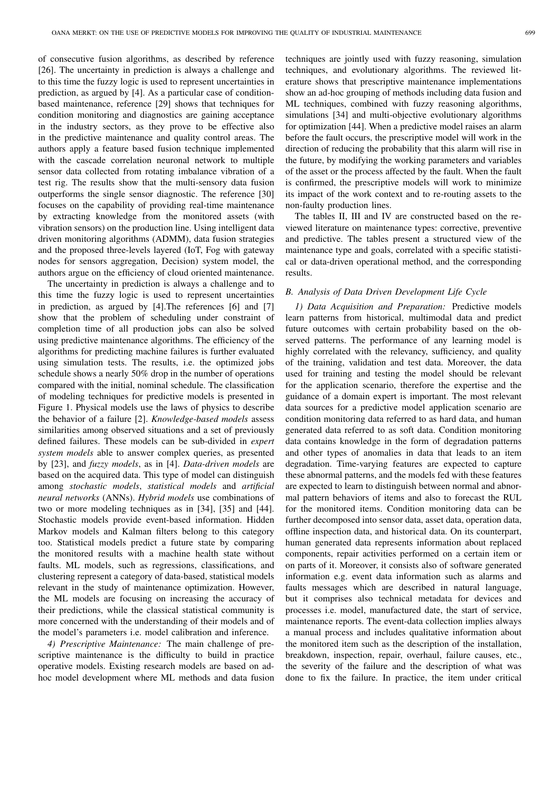of consecutive fusion algorithms, as described by reference [26]. The uncertainty in prediction is always a challenge and to this time the fuzzy logic is used to represent uncertainties in prediction, as argued by [4]. As a particular case of conditionbased maintenance, reference [29] shows that techniques for condition monitoring and diagnostics are gaining acceptance in the industry sectors, as they prove to be effective also in the predictive maintenance and quality control areas. The authors apply a feature based fusion technique implemented with the cascade correlation neuronal network to multiple sensor data collected from rotating imbalance vibration of a test rig. The results show that the multi-sensory data fusion outperforms the single sensor diagnostic. The reference [30] focuses on the capability of providing real-time maintenance by extracting knowledge from the monitored assets (with vibration sensors) on the production line. Using intelligent data driven monitoring algorithms (ADMM), data fusion strategies and the proposed three-levels layered (IoT, Fog with gateway nodes for sensors aggregation, Decision) system model, the authors argue on the efficiency of cloud oriented maintenance.

The uncertainty in prediction is always a challenge and to this time the fuzzy logic is used to represent uncertainties in prediction, as argued by [4].The references [6] and [7] show that the problem of scheduling under constraint of completion time of all production jobs can also be solved using predictive maintenance algorithms. The efficiency of the algorithms for predicting machine failures is further evaluated using simulation tests. The results, i.e. the optimized jobs schedule shows a nearly 50% drop in the number of operations compared with the initial, nominal schedule. The classification of modeling techniques for predictive models is presented in Figure 1. Physical models use the laws of physics to describe the behavior of a failure [2]. *Knowledge-based models* assess similarities among observed situations and a set of previously defined failures. These models can be sub-divided in *expert system models* able to answer complex queries, as presented by [23], and *fuzzy models*, as in [4]. *Data-driven models* are based on the acquired data. This type of model can distinguish among *stochastic models*, *statistical models* and *artificial neural networks* (ANNs). *Hybrid models* use combinations of two or more modeling techniques as in [34], [35] and [44]. Stochastic models provide event-based information. Hidden Markov models and Kalman filters belong to this category too. Statistical models predict a future state by comparing the monitored results with a machine health state without faults. ML models, such as regressions, classifications, and clustering represent a category of data-based, statistical models relevant in the study of maintenance optimization. However, the ML models are focusing on increasing the accuracy of their predictions, while the classical statistical community is more concerned with the understanding of their models and of the model's parameters i.e. model calibration and inference.

*4) Prescriptive Maintenance:* The main challenge of prescriptive maintenance is the difficulty to build in practice operative models. Existing research models are based on adhoc model development where ML methods and data fusion techniques are jointly used with fuzzy reasoning, simulation techniques, and evolutionary algorithms. The reviewed literature shows that prescriptive maintenance implementations show an ad-hoc grouping of methods including data fusion and ML techniques, combined with fuzzy reasoning algorithms, simulations [34] and multi-objective evolutionary algorithms for optimization [44]. When a predictive model raises an alarm before the fault occurs, the prescriptive model will work in the direction of reducing the probability that this alarm will rise in the future, by modifying the working parameters and variables of the asset or the process affected by the fault. When the fault is confirmed, the prescriptive models will work to minimize its impact of the work context and to re-routing assets to the non-faulty production lines.

The tables II, III and IV are constructed based on the reviewed literature on maintenance types: corrective, preventive and predictive. The tables present a structured view of the maintenance type and goals, correlated with a specific statistical or data-driven operational method, and the corresponding results.

# *B. Analysis of Data Driven Development Life Cycle*

*1) Data Acquisition and Preparation:* Predictive models learn patterns from historical, multimodal data and predict future outcomes with certain probability based on the observed patterns. The performance of any learning model is highly correlated with the relevancy, sufficiency, and quality of the training, validation and test data. Moreover, the data used for training and testing the model should be relevant for the application scenario, therefore the expertise and the guidance of a domain expert is important. The most relevant data sources for a predictive model application scenario are condition monitoring data referred to as hard data, and human generated data referred to as soft data. Condition monitoring data contains knowledge in the form of degradation patterns and other types of anomalies in data that leads to an item degradation. Time-varying features are expected to capture these abnormal patterns, and the models fed with these features are expected to learn to distinguish between normal and abnormal pattern behaviors of items and also to forecast the RUL for the monitored items. Condition monitoring data can be further decomposed into sensor data, asset data, operation data, offline inspection data, and historical data. On its counterpart, human generated data represents information about replaced components, repair activities performed on a certain item or on parts of it. Moreover, it consists also of software generated information e.g. event data information such as alarms and faults messages which are described in natural language, but it comprises also technical metadata for devices and processes i.e. model, manufactured date, the start of service, maintenance reports. The event-data collection implies always a manual process and includes qualitative information about the monitored item such as the description of the installation, breakdown, inspection, repair, overhaul, failure causes, etc., the severity of the failure and the description of what was done to fix the failure. In practice, the item under critical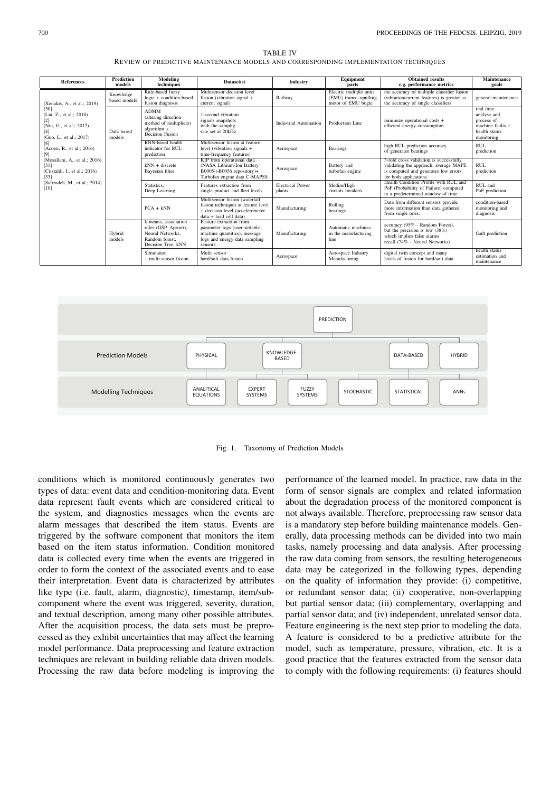| <b>References</b>                                                                                                    | <b>Prediction</b><br>models | Modeling<br>techniques                                                                                    | Dataset(s)                                                                                                                           | Industry                          | Equipment<br>parts                                                      | <b>Obtained results</b><br>e.g. performance metrics                                                                                               | <b>Maintenance</b><br>goals                                                                 |
|----------------------------------------------------------------------------------------------------------------------|-----------------------------|-----------------------------------------------------------------------------------------------------------|--------------------------------------------------------------------------------------------------------------------------------------|-----------------------------------|-------------------------------------------------------------------------|---------------------------------------------------------------------------------------------------------------------------------------------------|---------------------------------------------------------------------------------------------|
| (Xenakis, A., et al.; 2019)<br>[30]<br>(Liu, Z., et al.; 2018)<br>(Niu, G., et al.; 2017)<br>(Guo, L., et al.; 2017) | Knowledge<br>based models   | Rule-based fuzzy<br>logic + condition-based<br>fusion diagnosis                                           | Multisensor decision level<br>fusion (vibration signal +<br>current signal)                                                          | Railway                           | Electric multiple units<br>(EMU) trains ->pulling<br>motor of EMU bogie | the accuracy of multiple classifier fusion<br>(vibration/current features) is greater as<br>the accuracy of single classifiers                    | general maintenance                                                                         |
|                                                                                                                      | Data based<br>models        | <b>ADMM</b><br>(altering direction<br>method of multipliers)<br>algorithm +<br>Decision Fusion            | 1-second vibration<br>signals snapshots<br>with the samplig<br>rate set at 20kHz                                                     | Industrial Automation             | Production Line                                                         | minimize operational costs +<br>efficient energy consumption                                                                                      | real time<br>analyse and<br>process of<br>machine faults $+$<br>health status<br>monitoring |
| (Acorsi, R., et al.; 2016)                                                                                           |                             | RNN-based health<br>indicator for RUL<br>prediction                                                       | Multisensor fusion at feature<br>level (vibration signals +<br>time-frequency features)                                              | Aerospace                         | <b>Bearings</b>                                                         | high RUL prediction accuracy<br>of generator bearings                                                                                             | <b>RUL</b><br>prediction                                                                    |
| (Mosallam, A., et al.; 2016)<br>[31]<br>(Cristaldi, I., et al.; 2016)<br>$[33]$                                      |                             | $kNN + discrete$<br>Bayesian filter                                                                       | KIP from operational data<br>(NASA Lithium-Ion Battery<br>B0005->B0056 repository)+<br>Turbofan engine data C-MAPSS                  | Aerospace                         | Battery and<br>turbofan engine                                          | 3-fold cross validation is successfully<br>validating the approach. average MAPE<br>is computed and generates low errors<br>for both applications | <b>RUL</b><br>prediction                                                                    |
| (Safizadeh, M., et al.; 2014)<br>[10]                                                                                |                             | Statistics.<br>Deep Learning                                                                              | Features extraction from<br>single product and fleet levels                                                                          | <b>Electrical Power</b><br>plants | Medim/High<br>circuits breakers                                         | Health Condition Profile with RUL and<br>PoF (Probability of Failure) computed<br>in a predetermined window of time.                              | RUL and<br>PoF prediction                                                                   |
|                                                                                                                      |                             | $PCA + kNN$                                                                                               | Multisensor fusion (waterfall<br>fusion technique) at feature level<br>+ decision level (accelerometer<br>data + load cell data)     | Manufacturing                     | Rolling<br>bearings                                                     | Data from different sensors provide<br>more information than data gathered<br>from single ones.                                                   | condition-based<br>monitoring and<br>diagnosis                                              |
|                                                                                                                      | Hybrid<br>models            | k-means, association<br>rules (GSP, Apriori).<br>Neural Networks.<br>Random forest.<br>Decision Tree, kNN | Feature extraction from<br>parameter logs (user settable<br>machine quantities), message<br>logs and energy data sampling<br>sensors | Manufacturing                     | Automatic machines<br>in the manufacturing<br>line                      | accuracy (95% - Random Forest),<br>but the precision is low (38%)<br>which implies false alarms<br>recall (74% - Neural Networks)                 | fault prediction                                                                            |
|                                                                                                                      |                             | Simulation<br>+ multi-sensor fusion                                                                       | Multi sensor<br>hard/soft data fusion                                                                                                | Aerospace                         | Aerospace Industry<br>Manufacturing                                     | digital twin concept and many<br>levels of fusion for hard/soft data                                                                              | health status<br>estimation and<br>maintenance                                              |

TABLE IV REVIEW OF PREDICTIVE MAINTENANCE MODELS AND CORRESPONDING IMPLEMENTATION TECHNIQUES



Fig. 1. Taxonomy of Prediction Models

conditions which is monitored continuously generates two types of data: event data and condition-monitoring data. Event data represent fault events which are considered critical to the system, and diagnostics messages when the events are alarm messages that described the item status. Events are triggered by the software component that monitors the item based on the item status information. Condition monitored data is collected every time when the events are triggered in order to form the context of the associated events and to ease their interpretation. Event data is characterized by attributes like type (i.e. fault, alarm, diagnostic), timestamp, item/subcomponent where the event was triggered, severity, duration, and textual description, among many other possible attributes. After the acquisition process, the data sets must be preprocessed as they exhibit uncertainties that may affect the learning model performance. Data preprocessing and feature extraction techniques are relevant in building reliable data driven models. Processing the raw data before modeling is improving the

performance of the learned model. In practice, raw data in the form of sensor signals are complex and related information about the degradation process of the monitored component is not always available. Therefore, preprocessing raw sensor data is a mandatory step before building maintenance models. Generally, data processing methods can be divided into two main tasks, namely processing and data analysis. After processing the raw data coming from sensors, the resulting heterogeneous data may be categorized in the following types, depending on the quality of information they provide: (i) competitive, or redundant sensor data; (ii) cooperative, non-overlapping but partial sensor data; (iii) complementary, overlapping and partial sensor data; and (iv) independent, unrelated sensor data. Feature engineering is the next step prior to modeling the data. A feature is considered to be a predictive attribute for the model, such as temperature, pressure, vibration, etc. It is a good practice that the features extracted from the sensor data to comply with the following requirements: (i) features should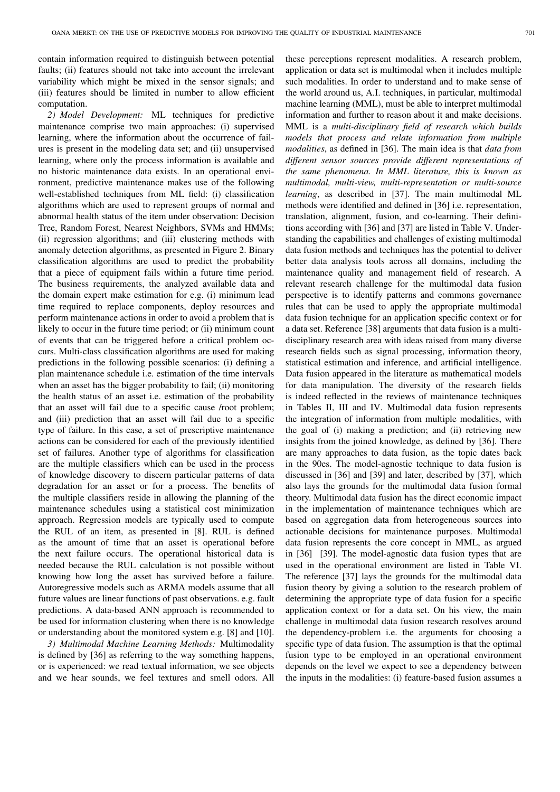contain information required to distinguish between potential faults; (ii) features should not take into account the irrelevant variability which might be mixed in the sensor signals; and (iii) features should be limited in number to allow efficient computation.

*2) Model Development:* ML techniques for predictive maintenance comprise two main approaches: (i) supervised learning, where the information about the occurrence of failures is present in the modeling data set; and (ii) unsupervised learning, where only the process information is available and no historic maintenance data exists. In an operational environment, predictive maintenance makes use of the following well-established techniques from ML field: (i) classification algorithms which are used to represent groups of normal and abnormal health status of the item under observation: Decision Tree, Random Forest, Nearest Neighbors, SVMs and HMMs; (ii) regression algorithms; and (iii) clustering methods with anomaly detection algorithms, as presented in Figure 2. Binary classification algorithms are used to predict the probability that a piece of equipment fails within a future time period. The business requirements, the analyzed available data and the domain expert make estimation for e.g. (i) minimum lead time required to replace components, deploy resources and perform maintenance actions in order to avoid a problem that is likely to occur in the future time period; or (ii) minimum count of events that can be triggered before a critical problem occurs. Multi-class classification algorithms are used for making predictions in the following possible scenarios: (i) defining a plan maintenance schedule i.e. estimation of the time intervals when an asset has the bigger probability to fail; (ii) monitoring the health status of an asset i.e. estimation of the probability that an asset will fail due to a specific cause /root problem; and (iii) prediction that an asset will fail due to a specific type of failure. In this case, a set of prescriptive maintenance actions can be considered for each of the previously identified set of failures. Another type of algorithms for classification are the multiple classifiers which can be used in the process of knowledge discovery to discern particular patterns of data degradation for an asset or for a process. The benefits of the multiple classifiers reside in allowing the planning of the maintenance schedules using a statistical cost minimization approach. Regression models are typically used to compute the RUL of an item, as presented in [8]. RUL is defined as the amount of time that an asset is operational before the next failure occurs. The operational historical data is needed because the RUL calculation is not possible without knowing how long the asset has survived before a failure. Autoregressive models such as ARMA models assume that all future values are linear functions of past observations. e.g. fault predictions. A data-based ANN approach is recommended to be used for information clustering when there is no knowledge or understanding about the monitored system e.g. [8] and [10].

*3) Multimodal Machine Learning Methods:* Multimodality is defined by [36] as referring to the way something happens, or is experienced: we read textual information, we see objects and we hear sounds, we feel textures and smell odors. All these perceptions represent modalities. A research problem, application or data set is multimodal when it includes multiple such modalities. In order to understand and to make sense of the world around us, A.I. techniques, in particular, multimodal machine learning (MML), must be able to interpret multimodal information and further to reason about it and make decisions. MML is a *multi-disciplinary field of research which builds models that process and relate information from multiple modalities*, as defined in [36]. The main idea is that *data from different sensor sources provide different representations of the same phenomena. In MML literature, this is known as multimodal, multi-view, multi-representation or multi-source learning*, as described in [37]. The main multimodal ML methods were identified and defined in [36] i.e. representation, translation, alignment, fusion, and co-learning. Their definitions according with [36] and [37] are listed in Table V. Understanding the capabilities and challenges of existing multimodal data fusion methods and techniques has the potential to deliver better data analysis tools across all domains, including the maintenance quality and management field of research. A relevant research challenge for the multimodal data fusion perspective is to identify patterns and commons governance rules that can be used to apply the appropriate multimodal data fusion technique for an application specific context or for a data set. Reference [38] arguments that data fusion is a multidisciplinary research area with ideas raised from many diverse research fields such as signal processing, information theory, statistical estimation and inference, and artificial intelligence. Data fusion appeared in the literature as mathematical models for data manipulation. The diversity of the research fields is indeed reflected in the reviews of maintenance techniques in Tables II, III and IV. Multimodal data fusion represents the integration of information from multiple modalities, with the goal of (i) making a prediction; and (ii) retrieving new insights from the joined knowledge, as defined by [36]. There are many approaches to data fusion, as the topic dates back in the 90es. The model-agnostic technique to data fusion is discussed in [36] and [39] and later, described by [37], which also lays the grounds for the multimodal data fusion formal theory. Multimodal data fusion has the direct economic impact in the implementation of maintenance techniques which are based on aggregation data from heterogeneous sources into actionable decisions for maintenance purposes. Multimodal data fusion represents the core concept in MML, as argued in [36] [39]. The model-agnostic data fusion types that are used in the operational environment are listed in Table VI. The reference [37] lays the grounds for the multimodal data fusion theory by giving a solution to the research problem of determining the appropriate type of data fusion for a specific application context or for a data set. On his view, the main challenge in multimodal data fusion research resolves around the dependency-problem i.e. the arguments for choosing a specific type of data fusion. The assumption is that the optimal fusion type to be employed in an operational environment depends on the level we expect to see a dependency between the inputs in the modalities: (i) feature-based fusion assumes a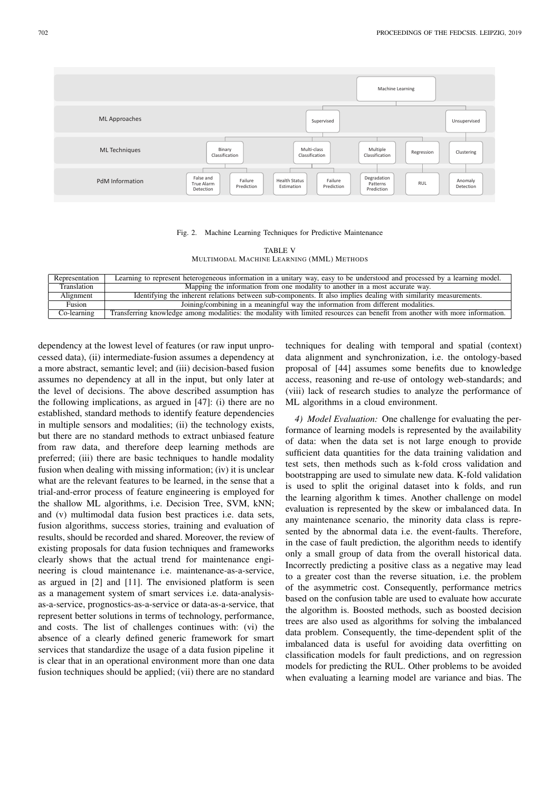

#### Fig. 2. Machine Learning Techniques for Predictive Maintenance

| <b>TABLE V</b>                            |
|-------------------------------------------|
| MULTIMODAL MACHINE LEARNING (MML) METHODS |

| Representation | Learning to represent heterogeneous information in a unitary way, easy to be understood and processed by a learning model.   |
|----------------|------------------------------------------------------------------------------------------------------------------------------|
| Translation    | Mapping the information from one modality to another in a most accurate way.                                                 |
| Alignment      | Identifying the inherent relations between sub-components. It also implies dealing with similarity measurements.             |
| Fusion         | Joining/combining in a meaningful way the information from different modalities.                                             |
| Co-learning    | Transferring knowledge among modalities: the modality with limited resources can benefit from another with more information. |

dependency at the lowest level of features (or raw input unprocessed data), (ii) intermediate-fusion assumes a dependency at a more abstract, semantic level; and (iii) decision-based fusion assumes no dependency at all in the input, but only later at the level of decisions. The above described assumption has the following implications, as argued in [47]: (i) there are no established, standard methods to identify feature dependencies in multiple sensors and modalities; (ii) the technology exists, but there are no standard methods to extract unbiased feature from raw data, and therefore deep learning methods are preferred; (iii) there are basic techniques to handle modality fusion when dealing with missing information; (iv) it is unclear what are the relevant features to be learned, in the sense that a trial-and-error process of feature engineering is employed for the shallow ML algorithms, i.e. Decision Tree, SVM, kNN; and (v) multimodal data fusion best practices i.e. data sets, fusion algorithms, success stories, training and evaluation of results, should be recorded and shared. Moreover, the review of existing proposals for data fusion techniques and frameworks clearly shows that the actual trend for maintenance engineering is cloud maintenance i.e. maintenance-as-a-service, as argued in [2] and [11]. The envisioned platform is seen as a management system of smart services i.e. data-analysisas-a-service, prognostics-as-a-service or data-as-a-service, that represent better solutions in terms of technology, performance, and costs. The list of challenges continues with: (vi) the absence of a clearly defined generic framework for smart services that standardize the usage of a data fusion pipeline it is clear that in an operational environment more than one data fusion techniques should be applied; (vii) there are no standard

techniques for dealing with temporal and spatial (context) data alignment and synchronization, i.e. the ontology-based proposal of [44] assumes some benefits due to knowledge access, reasoning and re-use of ontology web-standards; and (viii) lack of research studies to analyze the performance of ML algorithms in a cloud environment.

*4) Model Evaluation:* One challenge for evaluating the performance of learning models is represented by the availability of data: when the data set is not large enough to provide sufficient data quantities for the data training validation and test sets, then methods such as k-fold cross validation and bootstrapping are used to simulate new data. K-fold validation is used to split the original dataset into k folds, and run the learning algorithm k times. Another challenge on model evaluation is represented by the skew or imbalanced data. In any maintenance scenario, the minority data class is represented by the abnormal data i.e. the event-faults. Therefore, in the case of fault prediction, the algorithm needs to identify only a small group of data from the overall historical data. Incorrectly predicting a positive class as a negative may lead to a greater cost than the reverse situation, i.e. the problem of the asymmetric cost. Consequently, performance metrics based on the confusion table are used to evaluate how accurate the algorithm is. Boosted methods, such as boosted decision trees are also used as algorithms for solving the imbalanced data problem. Consequently, the time-dependent split of the imbalanced data is useful for avoiding data overfitting on classification models for fault predictions, and on regression models for predicting the RUL. Other problems to be avoided when evaluating a learning model are variance and bias. The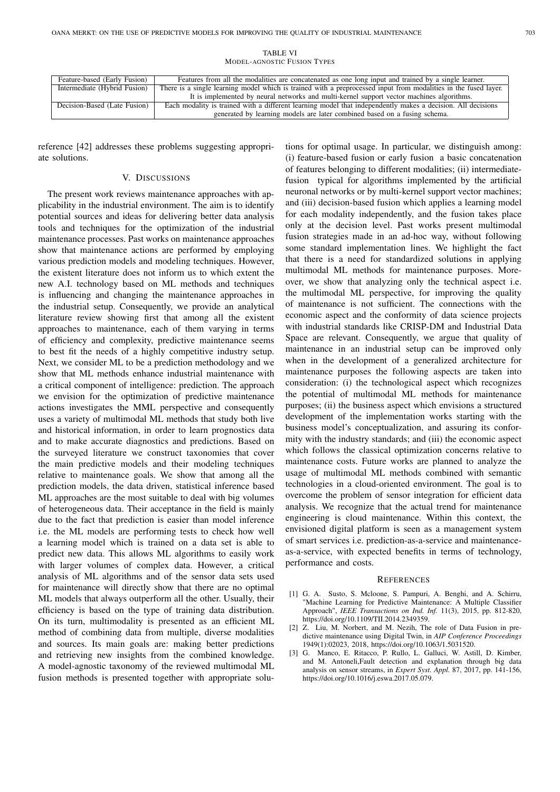| Feature-based (Early Fusion) | Features from all the modalities are concatenated as one long input and trained by a single learner.            |
|------------------------------|-----------------------------------------------------------------------------------------------------------------|
| Intermediate (Hybrid Fusion) | There is a single learning model which is trained with a preprocessed input from modalities in the fused layer. |
|                              | It is implemented by neural networks and multi-kernel support vector machines algorithms.                       |
| Decision-Based (Late Fusion) | Each modality is trained with a different learning model that independently makes a decision. All decisions     |
|                              | generated by learning models are later combined based on a fusing schema.                                       |

TABLE VI MODEL-AGNOSTIC FUSION TYPES

reference [42] addresses these problems suggesting appropriate solutions.

#### V. DISCUSSIONS

The present work reviews maintenance approaches with applicability in the industrial environment. The aim is to identify potential sources and ideas for delivering better data analysis tools and techniques for the optimization of the industrial maintenance processes. Past works on maintenance approaches show that maintenance actions are performed by employing various prediction models and modeling techniques. However, the existent literature does not inform us to which extent the new A.I. technology based on ML methods and techniques is influencing and changing the maintenance approaches in the industrial setup. Consequently, we provide an analytical literature review showing first that among all the existent approaches to maintenance, each of them varying in terms of efficiency and complexity, predictive maintenance seems to best fit the needs of a highly competitive industry setup. Next, we consider ML to be a prediction methodology and we show that ML methods enhance industrial maintenance with a critical component of intelligence: prediction. The approach we envision for the optimization of predictive maintenance actions investigates the MML perspective and consequently uses a variety of multimodal ML methods that study both live and historical information, in order to learn prognostics data and to make accurate diagnostics and predictions. Based on the surveyed literature we construct taxonomies that cover the main predictive models and their modeling techniques relative to maintenance goals. We show that among all the prediction models, the data driven, statistical inference based ML approaches are the most suitable to deal with big volumes of heterogeneous data. Their acceptance in the field is mainly due to the fact that prediction is easier than model inference i.e. the ML models are performing tests to check how well a learning model which is trained on a data set is able to predict new data. This allows ML algorithms to easily work with larger volumes of complex data. However, a critical analysis of ML algorithms and of the sensor data sets used for maintenance will directly show that there are no optimal ML models that always outperform all the other. Usually, their efficiency is based on the type of training data distribution. On its turn, multimodality is presented as an efficient ML method of combining data from multiple, diverse modalities and sources. Its main goals are: making better predictions and retrieving new insights from the combined knowledge. A model-agnostic taxonomy of the reviewed multimodal ML fusion methods is presented together with appropriate solutions for optimal usage. In particular, we distinguish among: (i) feature-based fusion or early fusion a basic concatenation of features belonging to different modalities; (ii) intermediatefusion typical for algorithms implemented by the artificial neuronal networks or by multi-kernel support vector machines; and (iii) decision-based fusion which applies a learning model for each modality independently, and the fusion takes place only at the decision level. Past works present multimodal fusion strategies made in an ad-hoc way, without following some standard implementation lines. We highlight the fact that there is a need for standardized solutions in applying multimodal ML methods for maintenance purposes. Moreover, we show that analyzing only the technical aspect i.e. the multimodal ML perspective, for improving the quality of maintenance is not sufficient. The connections with the economic aspect and the conformity of data science projects with industrial standards like CRISP-DM and Industrial Data Space are relevant. Consequently, we argue that quality of maintenance in an industrial setup can be improved only when in the development of a generalized architecture for maintenance purposes the following aspects are taken into consideration: (i) the technological aspect which recognizes the potential of multimodal ML methods for maintenance purposes; (ii) the business aspect which envisions a structured development of the implementation works starting with the business model's conceptualization, and assuring its conformity with the industry standards; and (iii) the economic aspect which follows the classical optimization concerns relative to maintenance costs. Future works are planned to analyze the usage of multimodal ML methods combined with semantic technologies in a cloud-oriented environment. The goal is to overcome the problem of sensor integration for efficient data analysis. We recognize that the actual trend for maintenance engineering is cloud maintenance. Within this context, the envisioned digital platform is seen as a management system of smart services i.e. prediction-as-a-service and maintenanceas-a-service, with expected benefits in terms of technology, performance and costs.

#### **REFERENCES**

- [1] G. A. Susto, S. Mcloone, S. Pampuri, A. Benghi, and A. Schirru, "Machine Learning for Predictive Maintenance: A Multiple Classifier Approach", *IEEE Transactions on Ind. Inf.* 11(3), 2015, pp. 812-820, https://doi.org/10.1109/TII.2014.2349359.
- [2] Z. Liu, M. Norbert, and M. Nezih, The role of Data Fusion in predictive maintenance using Digital Twin, in *AIP Conference Proceedings* 1949(1):02023, 2018, https://doi.org/10.1063/1.5031520.
- [3] G. Manco, E. Ritacco, P. Rullo, L. Galluci, W. Astill, D. Kimber, and M. Antoneli,Fault detection and explanation through big data analysis on sensor streams, in *Expert Syst. Appl.* 87, 2017, pp. 141-156, https://doi.org/10.1016/j.eswa.2017.05.079.